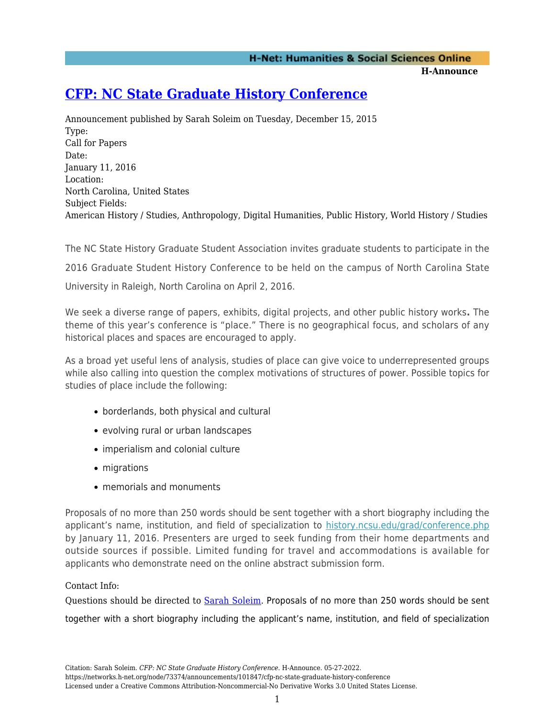**H-Announce** 

## **[CFP: NC State Graduate History Conference](https://networks.h-net.org/node/73374/announcements/101847/cfp-nc-state-graduate-history-conference)**

Announcement published by Sarah Soleim on Tuesday, December 15, 2015 Type: Call for Papers Date: January 11, 2016 Location: North Carolina, United States Subject Fields: American History / Studies, Anthropology, Digital Humanities, Public History, World History / Studies

The NC State History Graduate Student Association invites graduate students to participate in the 2016 Graduate Student History Conference to be held on the campus of North Carolina State University in Raleigh, North Carolina on April 2, 2016.

We seek a diverse range of papers, exhibits, digital projects, and other public history works**.** The theme of this year's conference is "place." There is no geographical focus, and scholars of any historical places and spaces are encouraged to apply.

As a broad yet useful lens of analysis, studies of place can give voice to underrepresented groups while also calling into question the complex motivations of structures of power. Possible topics for studies of place include the following:

- borderlands, both physical and cultural
- evolving rural or urban landscapes
- imperialism and colonial culture
- migrations
- memorials and monuments

Proposals of no more than 250 words should be sent together with a short biography including the applicant's name, institution, and field of specialization to [history.ncsu.edu/grad/conference.php](http://history.ncsu.edu/grad/conference.php) by January 11, 2016. Presenters are urged to seek funding from their home departments and outside sources if possible. Limited funding for travel and accommodations is available for applicants who demonstrate need on the online abstract submission form.

## Contact Info:

Questions should be directed to [Sarah Soleim](mailto:samatter@ncsu.edu?subject=NC%20State%20History%20Graduate%20Conference). Proposals of no more than 250 words should be sent together with a short biography including the applicant's name, institution, and field of specialization